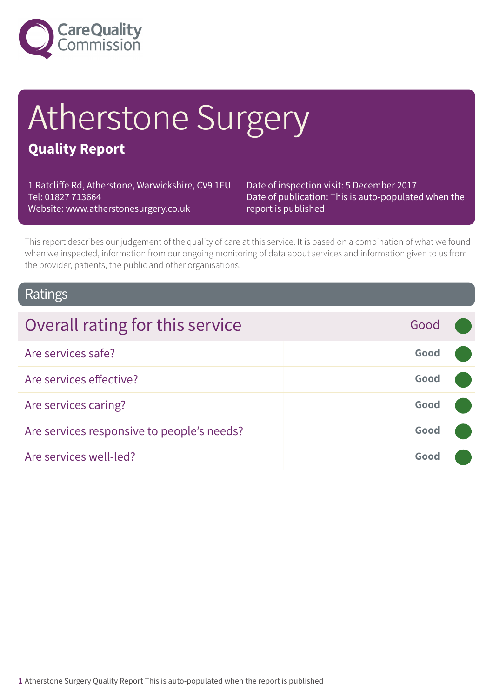

# Atherstone Surgery

## **Quality Report**

1 Ratcliffe Rd, Atherstone, Warwickshire, CV9 1EU Tel: 01827 713664 Website: www.atherstonesurgery.co.uk

Date of inspection visit: 5 December 2017 Date of publication: This is auto-populated when the report is published

This report describes our judgement of the quality of care at this service. It is based on a combination of what we found when we inspected, information from our ongoing monitoring of data about services and information given to us from the provider, patients, the public and other organisations.

### Ratings

| Overall rating for this service            | Good |  |
|--------------------------------------------|------|--|
| Are services safe?                         | Good |  |
| Are services effective?                    | Good |  |
| Are services caring?                       | Good |  |
| Are services responsive to people's needs? | Good |  |
| Are services well-led?                     | Good |  |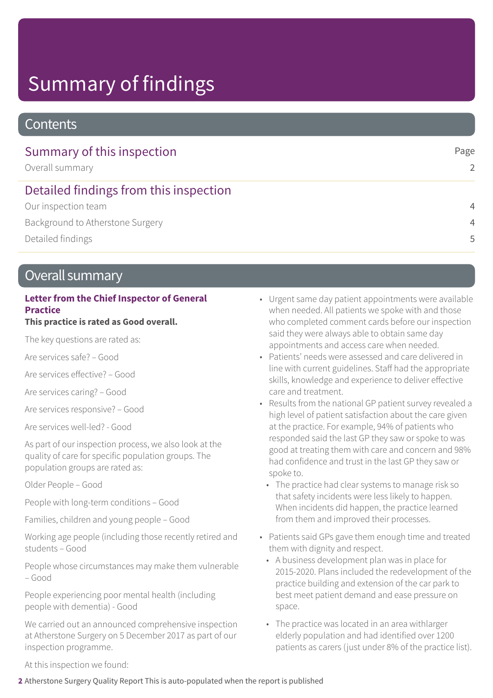## Summary of findings

## **Contents**

| Summary of this inspection<br>Overall summary | Page<br>$\mathcal{L}$ |
|-----------------------------------------------|-----------------------|
| Detailed findings from this inspection        |                       |
| Our inspection team                           | $\overline{4}$        |
| Background to Atherstone Surgery              | $\overline{4}$        |
| Detailed findings                             | .5                    |

## Overall summary

### **Letter from the Chief Inspector of General Practice**

### **This practice is rated as Good overall.**

The key questions are rated as:

Are services safe? – Good

Are services effective? – Good

Are services caring? – Good

Are services responsive? – Good

Are services well-led? - Good

As part of our inspection process, we also look at the quality of care for specific population groups. The population groups are rated as:

Older People – Good

People with long-term conditions – Good

Families, children and young people – Good

Working age people (including those recently retired and students – Good

People whose circumstances may make them vulnerable – Good

People experiencing poor mental health (including people with dementia) - Good

We carried out an announced comprehensive inspection at Atherstone Surgery on 5 December 2017 as part of our inspection programme.

- Urgent same day patient appointments were available when needed. All patients we spoke with and those who completed comment cards before our inspection said they were always able to obtain same day appointments and access care when needed.
- Patients' needs were assessed and care delivered in line with current guidelines. Staff had the appropriate skills, knowledge and experience to deliver effective care and treatment.
- Results from the national GP patient survey revealed a high level of patient satisfaction about the care given at the practice. For example, 94% of patients who responded said the last GP they saw or spoke to was good at treating them with care and concern and 98% had confidence and trust in the last GP they saw or spoke to.
	- The practice had clear systems to manage risk so that safety incidents were less likely to happen. When incidents did happen, the practice learned from them and improved their processes.
- Patients said GPs gave them enough time and treated them with dignity and respect.
	- A business development plan was in place for 2015-2020. Plans included the redevelopment of the practice building and extension of the car park to best meet patient demand and ease pressure on space.
	- The practice was located in an area withlarger elderly population and had identified over 1200 patients as carers (just under 8% of the practice list).

At this inspection we found: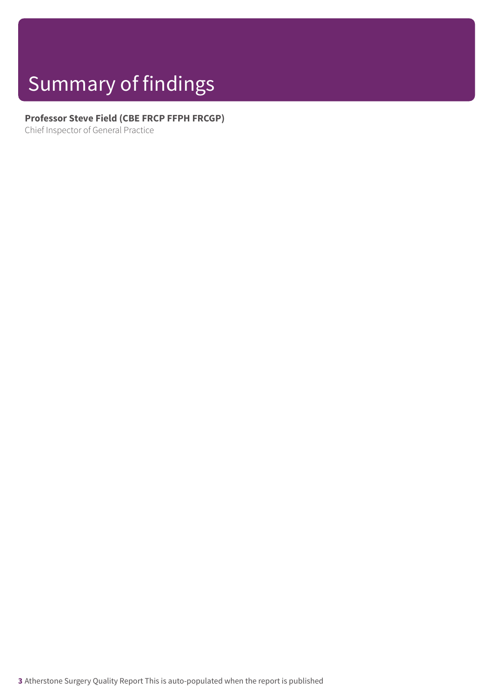## Summary of findings

### **Professor Steve Field (CBE FRCP FFPH FRCGP)**

Chief Inspector of General Practice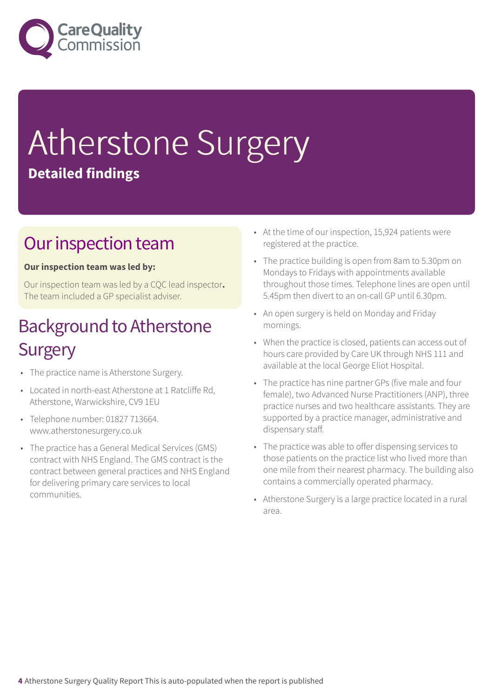

## Atherstone Surgery **Detailed findings**

## Our inspection team

### **Our inspection team was led by:**

Our inspection team was led by a CQC lead inspector**.** The team included a GP specialist adviser.

## **Background to Atherstone Surgery**

- The practice name is Atherstone Surgery.
- Located in north-east Atherstone at 1 Ratcliffe Rd, Atherstone, Warwickshire, CV9 1EU
- Telephone number: 01827 713664. www.atherstonesurgery.co.uk
- The practice has a General Medical Services (GMS) contract with NHS England. The GMS contract is the contract between general practices and NHS England for delivering primary care services to local communities.
- At the time of our inspection, 15,924 patients were registered at the practice.
- The practice building is open from 8am to 5.30pm on Mondays to Fridays with appointments available throughout those times. Telephone lines are open until 5.45pm then divert to an on-call GP until 6.30pm.
- An open surgery is held on Monday and Friday mornings.
- When the practice is closed, patients can access out of hours care provided by Care UK through NHS 111 and available at the local George Eliot Hospital.
- The practice has nine partner GPs (five male and four female), two Advanced Nurse Practitioners (ANP), three practice nurses and two healthcare assistants. They are supported by a practice manager, administrative and dispensary staff.
- The practice was able to offer dispensing services to those patients on the practice list who lived more than one mile from their nearest pharmacy. The building also contains a commercially operated pharmacy.
- Atherstone Surgery is a large practice located in a rural area.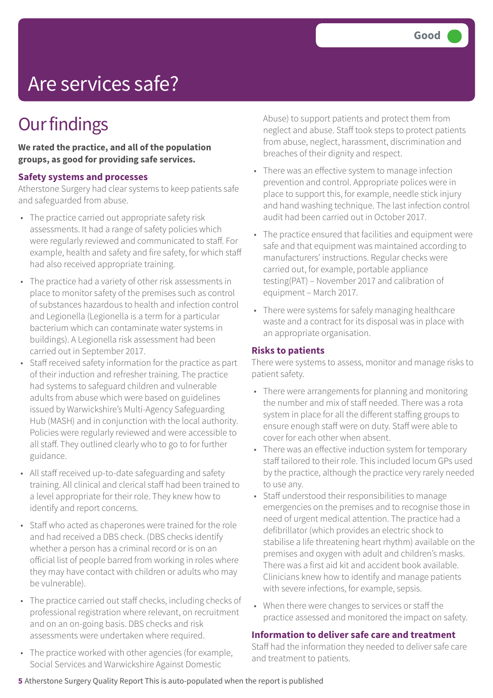## Are services safe?

## **Our findings**

**We rated the practice, and all of the population groups, as good for providing safe services.**

#### **Safety systems and processes**

Atherstone Surgery had clear systems to keep patients safe and safeguarded from abuse.

- The practice carried out appropriate safety risk assessments. It had a range of safety policies which were regularly reviewed and communicated to staff. For example, health and safety and fire safety, for which staff had also received appropriate training.
- The practice had a variety of other risk assessments in place to monitor safety of the premises such as control of substances hazardous to health and infection control and Legionella (Legionella is a term for a particular bacterium which can contaminate water systems in buildings). A Legionella risk assessment had been carried out in September 2017.
- Staff received safety information for the practice as part of their induction and refresher training. The practice had systems to safeguard children and vulnerable adults from abuse which were based on guidelines issued by Warwickshire's Multi-Agency Safeguarding Hub (MASH) and in conjunction with the local authority. Policies were regularly reviewed and were accessible to all staff. They outlined clearly who to go to for further guidance.
- All staff received up-to-date safeguarding and safety training. All clinical and clerical staff had been trained to a level appropriate for their role. They knew how to identify and report concerns.
- Staff who acted as chaperones were trained for the role and had received a DBS check. (DBS checks identify whether a person has a criminal record or is on an official list of people barred from working in roles where they may have contact with children or adults who may be vulnerable).
- The practice carried out staff checks, including checks of professional registration where relevant, on recruitment and on an on-going basis. DBS checks and risk assessments were undertaken where required.
- The practice worked with other agencies (for example, Social Services and Warwickshire Against Domestic

Abuse) to support patients and protect them from neglect and abuse. Staff took steps to protect patients from abuse, neglect, harassment, discrimination and breaches of their dignity and respect.

- There was an effective system to manage infection prevention and control. Appropriate polices were in place to support this, for example, needle stick injury and hand washing technique. The last infection control audit had been carried out in October 2017.
- The practice ensured that facilities and equipment were safe and that equipment was maintained according to manufacturers' instructions. Regular checks were carried out, for example, portable appliance testing(PAT) – November 2017 and calibration of equipment – March 2017.
- There were systems for safely managing healthcare waste and a contract for its disposal was in place with an appropriate organisation.

### **Risks to patients**

There were systems to assess, monitor and manage risks to patient safety.

- There were arrangements for planning and monitoring the number and mix of staff needed. There was a rota system in place for all the different staffing groups to ensure enough staff were on duty. Staff were able to cover for each other when absent.
- There was an effective induction system for temporary staff tailored to their role. This included locum GPs used by the practice, although the practice very rarely needed to use any.
- Staff understood their responsibilities to manage emergencies on the premises and to recognise those in need of urgent medical attention. The practice had a defibrillator (which provides an electric shock to stabilise a life threatening heart rhythm) available on the premises and oxygen with adult and children's masks. There was a first aid kit and accident book available. Clinicians knew how to identify and manage patients with severe infections, for example, sepsis.
- When there were changes to services or staff the practice assessed and monitored the impact on safety.

### **Information to deliver safe care and treatment**

Staff had the information they needed to deliver safe care and treatment to patients.

### **5** Atherstone Surgery Quality Report This is auto-populated when the report is published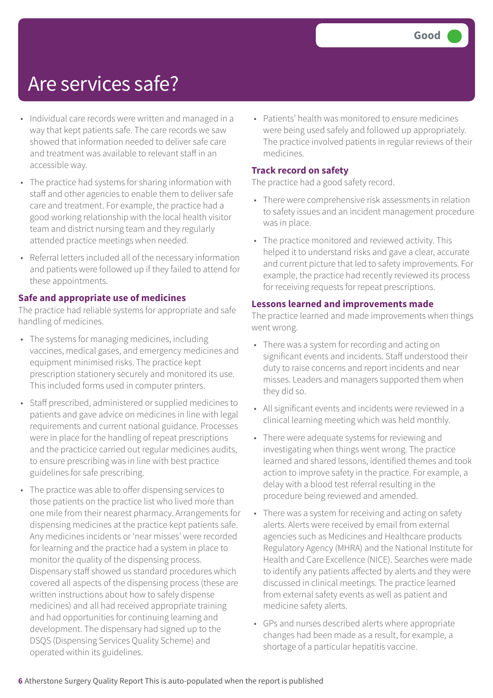## Are services safe?

- Individual care records were written and managed in a way that kept patients safe. The care records we saw showed that information needed to deliver safe care and treatment was available to relevant staff in an accessible way.
- The practice had systems for sharing information with staff and other agencies to enable them to deliver safe care and treatment. For example, the practice had a good working relationship with the local health visitor team and district nursing team and they regularly attended practice meetings when needed.
- Referral letters included all of the necessary information and patients were followed up if they failed to attend for these appointments.

### **Safe and appropriate use of medicines**

The practice had reliable systems for appropriate and safe handling of medicines.

- The systems for managing medicines, including vaccines, medical gases, and emergency medicines and equipment minimised risks. The practice kept prescription stationery securely and monitored its use. This included forms used in computer printers.
- Staff prescribed, administered or supplied medicines to patients and gave advice on medicines in line with legal requirements and current national guidance. Processes were in place for the handling of repeat prescriptions and the practicice carried out regular medicines audits, to ensure prescribing was in line with best practice guidelines for safe prescribing.
- The practice was able to offer dispensing services to those patients on the practice list who lived more than one mile from their nearest pharmacy. Arrangements for dispensing medicines at the practice kept patients safe. Any medicines incidents or 'near misses' were recorded for learning and the practice had a system in place to monitor the quality of the dispensing process. Dispensary staff showed us standard procedures which covered all aspects of the dispensing process (these are written instructions about how to safely dispense medicines) and all had received appropriate training and had opportunities for continuing learning and development. The dispensary had signed up to the DSQS (Dispensing Services Quality Scheme) and operated within its guidelines.

• Patients' health was monitored to ensure medicines were being used safely and followed up appropriately. The practice involved patients in regular reviews of their medicines.

#### **Track record on safety**

The practice had a good safety record.

- There were comprehensive risk assessments in relation to safety issues and an incident management procedure was in place.
- The practice monitored and reviewed activity. This helped it to understand risks and gave a clear, accurate and current picture that led to safety improvements. For example, the practice had recently reviewed its process for receiving requests for repeat prescriptions.

#### **Lessons learned and improvements made**

The practice learned and made improvements when things went wrong.

- There was a system for recording and acting on significant events and incidents. Staff understood their duty to raise concerns and report incidents and near misses. Leaders and managers supported them when they did so.
- All significant events and incidents were reviewed in a clinical learning meeting which was held monthly.
- There were adequate systems for reviewing and investigating when things went wrong. The practice learned and shared lessons, identified themes and took action to improve safety in the practice. For example, a delay with a blood test referral resulting in the procedure being reviewed and amended.
- There was a system for receiving and acting on safety alerts. Alerts were received by email from external agencies such as Medicines and Healthcare products Regulatory Agency (MHRA) and the National Institute for Health and Care Excellence (NICE). Searches were made to identify any patients affected by alerts and they were discussed in clinical meetings. The practice learned from external safety events as well as patient and medicine safety alerts.
- GPs and nurses described alerts where appropriate changes had been made as a result, for example, a shortage of a particular hepatitis vaccine.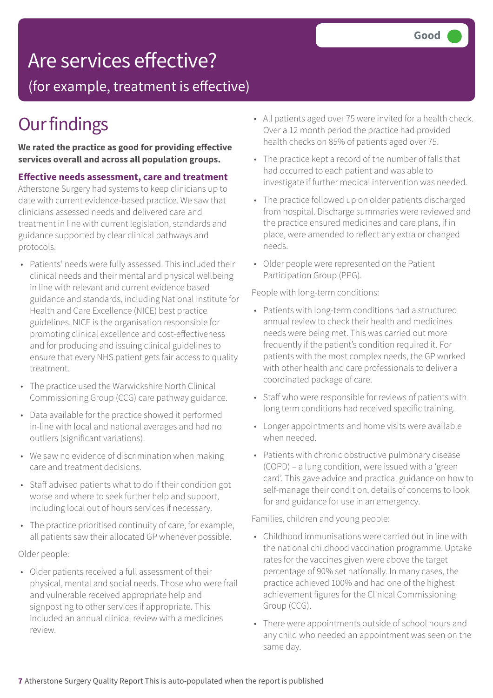## Are services effective?

(for example, treatment is effective)

## **Our findings**

**We rated the practice as good for providing effective services overall and across all population groups.**

#### **Effective needs assessment, care and treatment**

Atherstone Surgery had systems to keep clinicians up to date with current evidence-based practice. We saw that clinicians assessed needs and delivered care and treatment in line with current legislation, standards and guidance supported by clear clinical pathways and protocols.

- Patients' needs were fully assessed. This included their clinical needs and their mental and physical wellbeing in line with relevant and current evidence based guidance and standards, including National Institute for Health and Care Excellence (NICE) best practice guidelines. NICE is the organisation responsible for promoting clinical excellence and cost-effectiveness and for producing and issuing clinical guidelines to ensure that every NHS patient gets fair access to quality treatment.
- The practice used the Warwickshire North Clinical Commissioning Group (CCG) care pathway guidance.
- Data available for the practice showed it performed in-line with local and national averages and had no outliers (significant variations).
- We saw no evidence of discrimination when making care and treatment decisions.
- Staff advised patients what to do if their condition got worse and where to seek further help and support, including local out of hours services if necessary.
- The practice prioritised continuity of care, for example, all patients saw their allocated GP whenever possible.

### Older people:

• Older patients received a full assessment of their physical, mental and social needs. Those who were frail and vulnerable received appropriate help and signposting to other services if appropriate. This included an annual clinical review with a medicines review.

- All patients aged over 75 were invited for a health check. Over a 12 month period the practice had provided health checks on 85% of patients aged over 75.
- The practice kept a record of the number of falls that had occurred to each patient and was able to investigate if further medical intervention was needed.
- The practice followed up on older patients discharged from hospital. Discharge summaries were reviewed and the practice ensured medicines and care plans, if in place, were amended to reflect any extra or changed needs.
- Older people were represented on the Patient Participation Group (PPG).

People with long-term conditions:

- Patients with long-term conditions had a structured annual review to check their health and medicines needs were being met. This was carried out more frequently if the patient's condition required it. For patients with the most complex needs, the GP worked with other health and care professionals to deliver a coordinated package of care.
- Staff who were responsible for reviews of patients with long term conditions had received specific training.
- Longer appointments and home visits were available when needed.
- Patients with chronic obstructive pulmonary disease (COPD) – a lung condition, were issued with a 'green card'. This gave advice and practical guidance on how to self-manage their condition, details of concerns to look for and guidance for use in an emergency.

Families, children and young people:

- Childhood immunisations were carried out in line with the national childhood vaccination programme. Uptake rates for the vaccines given were above the target percentage of 90% set nationally. In many cases, the practice achieved 100% and had one of the highest achievement figures for the Clinical Commissioning Group (CCG).
- There were appointments outside of school hours and any child who needed an appointment was seen on the same day.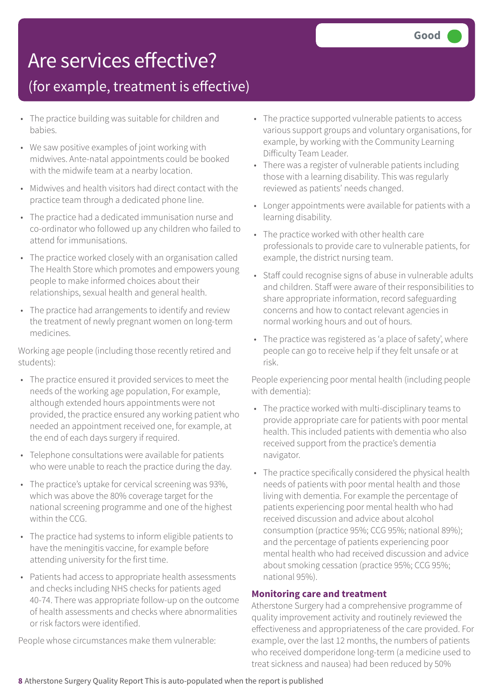## Are services effective?

## (for example, treatment is effective)

- The practice building was suitable for children and babies.
- We saw positive examples of joint working with midwives. Ante-natal appointments could be booked with the midwife team at a nearby location.
- Midwives and health visitors had direct contact with the practice team through a dedicated phone line.
- The practice had a dedicated immunisation nurse and co-ordinator who followed up any children who failed to attend for immunisations.
- The practice worked closely with an organisation called The Health Store which promotes and empowers young people to make informed choices about their relationships, sexual health and general health.
- The practice had arrangements to identify and review the treatment of newly pregnant women on long-term medicines.

Working age people (including those recently retired and students):

- The practice ensured it provided services to meet the needs of the working age population, For example, although extended hours appointments were not provided, the practice ensured any working patient who needed an appointment received one, for example, at the end of each days surgery if required.
- Telephone consultations were available for patients who were unable to reach the practice during the day.
- The practice's uptake for cervical screening was 93%, which was above the 80% coverage target for the national screening programme and one of the highest within the CCG.
- The practice had systems to inform eligible patients to have the meningitis vaccine, for example before attending university for the first time.
- Patients had access to appropriate health assessments and checks including NHS checks for patients aged 40-74. There was appropriate follow-up on the outcome of health assessments and checks where abnormalities or risk factors were identified.

People whose circumstances make them vulnerable:

- The practice supported vulnerable patients to access various support groups and voluntary organisations, for example, by working with the Community Learning Difficulty Team Leader.
- There was a register of vulnerable patients including those with a learning disability. This was regularly reviewed as patients' needs changed.
- Longer appointments were available for patients with a learning disability.
- The practice worked with other health care professionals to provide care to vulnerable patients, for example, the district nursing team.
- Staff could recognise signs of abuse in vulnerable adults and children. Staff were aware of their responsibilities to share appropriate information, record safeguarding concerns and how to contact relevant agencies in normal working hours and out of hours.
- The practice was registered as 'a place of safety', where people can go to receive help if they felt unsafe or at risk.

People experiencing poor mental health (including people with dementia):

- The practice worked with multi-disciplinary teams to provide appropriate care for patients with poor mental health. This included patients with dementia who also received support from the practice's dementia navigator.
- The practice specifically considered the physical health needs of patients with poor mental health and those living with dementia. For example the percentage of patients experiencing poor mental health who had received discussion and advice about alcohol consumption (practice 95%; CCG 95%; national 89%); and the percentage of patients experiencing poor mental health who had received discussion and advice about smoking cessation (practice 95%; CCG 95%; national 95%).

### **Monitoring care and treatment**

Atherstone Surgery had a comprehensive programme of quality improvement activity and routinely reviewed the effectiveness and appropriateness of the care provided. For example, over the last 12 months, the numbers of patients who received domperidone long-term (a medicine used to treat sickness and nausea) had been reduced by 50%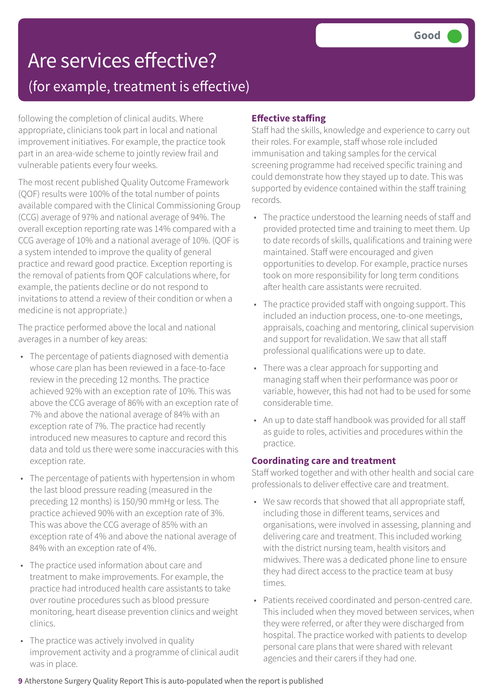## Are services effective? (for example, treatment is effective)

following the completion of clinical audits. Where appropriate, clinicians took part in local and national improvement initiatives. For example, the practice took part in an area-wide scheme to jointly review frail and vulnerable patients every four weeks.

The most recent published Quality Outcome Framework (QOF) results were 100% of the total number of points available compared with the Clinical Commissioning Group (CCG) average of 97% and national average of 94%. The overall exception reporting rate was 14% compared with a CCG average of 10% and a national average of 10%. (QOF is a system intended to improve the quality of general practice and reward good practice. Exception reporting is the removal of patients from QOF calculations where, for example, the patients decline or do not respond to invitations to attend a review of their condition or when a medicine is not appropriate.)

The practice performed above the local and national averages in a number of key areas:

- The percentage of patients diagnosed with dementia whose care plan has been reviewed in a face-to-face review in the preceding 12 months. The practice achieved 92% with an exception rate of 10%. This was above the CCG average of 86% with an exception rate of 7% and above the national average of 84% with an exception rate of 7%. The practice had recently introduced new measures to capture and record this data and told us there were some inaccuracies with this exception rate.
- The percentage of patients with hypertension in whom the last blood pressure reading (measured in the preceding 12 months) is 150/90 mmHg or less. The practice achieved 90% with an exception rate of 3%. This was above the CCG average of 85% with an exception rate of 4% and above the national average of 84% with an exception rate of 4%.
- The practice used information about care and treatment to make improvements. For example, the practice had introduced health care assistants to take over routine procedures such as blood pressure monitoring, heart disease prevention clinics and weight clinics.
- The practice was actively involved in quality improvement activity and a programme of clinical audit was in place.

### **Effective staffing**

Staff had the skills, knowledge and experience to carry out their roles. For example, staff whose role included immunisation and taking samples for the cervical screening programme had received specific training and could demonstrate how they stayed up to date. This was supported by evidence contained within the staff training records.

- The practice understood the learning needs of staff and provided protected time and training to meet them. Up to date records of skills, qualifications and training were maintained. Staff were encouraged and given opportunities to develop. For example, practice nurses took on more responsibility for long term conditions after health care assistants were recruited.
- The practice provided staff with ongoing support. This included an induction process, one-to-one meetings, appraisals, coaching and mentoring, clinical supervision and support for revalidation. We saw that all staff professional qualifications were up to date.
- There was a clear approach for supporting and managing staff when their performance was poor or variable, however, this had not had to be used for some considerable time.
- An up to date staff handbook was provided for all staff as guide to roles, activities and procedures within the practice.

### **Coordinating care and treatment**

Staff worked together and with other health and social care professionals to deliver effective care and treatment.

- We saw records that showed that all appropriate staff, including those in different teams, services and organisations, were involved in assessing, planning and delivering care and treatment. This included working with the district nursing team, health visitors and midwives. There was a dedicated phone line to ensure they had direct access to the practice team at busy times.
- Patients received coordinated and person-centred care. This included when they moved between services, when they were referred, or after they were discharged from hospital. The practice worked with patients to develop personal care plans that were shared with relevant agencies and their carers if they had one.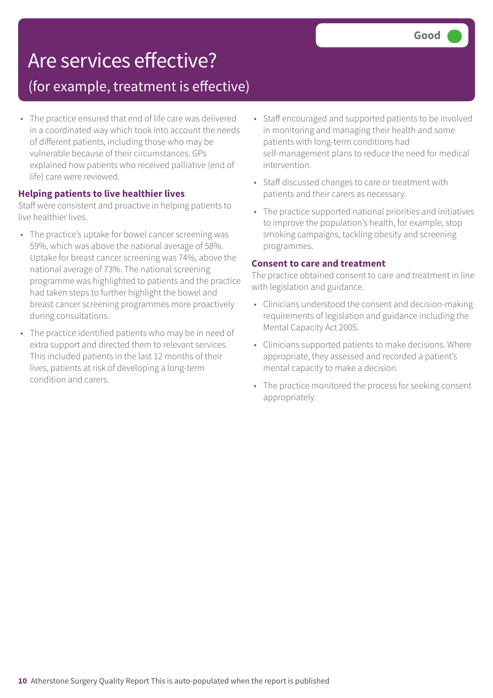## Are services effective?

## (for example, treatment is effective)

• The practice ensured that end of life care was delivered in a coordinated way which took into account the needs of different patients, including those who may be vulnerable because of their circumstances. GPs explained how patients who received palliative (end of life) care were reviewed.

### **Helping patients to live healthier lives**

Staff were consistent and proactive in helping patients to live healthier lives.

- The practice's uptake for bowel cancer screening was 59%, which was above the national average of 58%. Uptake for breast cancer screening was 74%, above the national average of 73%. The national screening programme was highlighted to patients and the practice had taken steps to further highlight the bowel and breast cancer screening programmes more proactively during consultations.
- The practice identified patients who may be in need of extra support and directed them to relevant services. This included patients in the last 12 months of their lives, patients at risk of developing a long-term condition and carers.
- Staff encouraged and supported patients to be involved in monitoring and managing their health and some patients with long-term conditions had self-management plans to reduce the need for medical intervention.
- Staff discussed changes to care or treatment with patients and their carers as necessary.
- The practice supported national priorities and initiatives to improve the population's health, for example, stop smoking campaigns, tackling obesity and screening programmes.

#### **Consent to care and treatment**

The practice obtained consent to care and treatment in line with legislation and guidance.

- Clinicians understood the consent and decision-making requirements of legislation and guidance including the Mental Capacity Act 2005.
- Clinicians supported patients to make decisions. Where appropriate, they assessed and recorded a patient's mental capacity to make a decision.
- The practice monitored the process for seeking consent appropriately.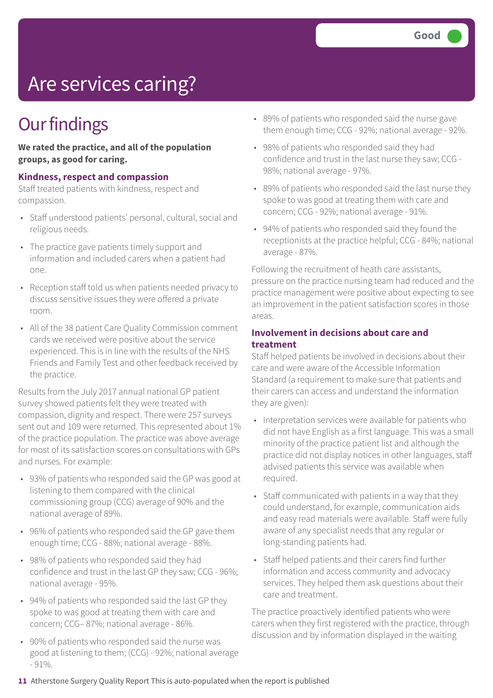## Are services caring?

## **Our findings**

**We rated the practice, and all of the population groups, as good for caring.**

#### **Kindness, respect and compassion**

Staff treated patients with kindness, respect and compassion.

- Staff understood patients' personal, cultural, social and religious needs.
- The practice gave patients timely support and information and included carers when a patient had one.
- Reception staff told us when patients needed privacy to discuss sensitive issues they were offered a private room.
- All of the 38 patient Care Quality Commission comment cards we received were positive about the service experienced. This is in line with the results of the NHS Friends and Family Test and other feedback received by the practice.

Results from the July 2017 annual national GP patient survey showed patients felt they were treated with compassion, dignity and respect. There were 257 surveys sent out and 109 were returned. This represented about 1% of the practice population. The practice was above average for most of its satisfaction scores on consultations with GPs and nurses. For example:

- 93% of patients who responded said the GP was good at listening to them compared with the clinical commissioning group (CCG) average of 90% and the national average of 89%.
- 96% of patients who responded said the GP gave them enough time; CCG - 88%; national average - 88%.
- 98% of patients who responded said they had confidence and trust in the last GP they saw; CCG - 96%; national average - 95%.
- 94% of patients who responded said the last GP they spoke to was good at treating them with care and concern; CCG– 87%; national average - 86%.
- 90% of patients who responded said the nurse was good at listening to them; (CCG) - 92%; national average  $-91\%$ .
- 89% of patients who responded said the nurse gave them enough time; CCG - 92%; national average - 92%.
- 98% of patients who responded said they had confidence and trust in the last nurse they saw; CCG - 98%; national average - 97%.
- 89% of patients who responded said the last nurse they spoke to was good at treating them with care and concern; CCG - 92%; national average - 91%.
- 94% of patients who responded said they found the receptionists at the practice helpful; CCG - 84%; national average - 87%.

Following the recruitment of heath care assistants, pressure on the practice nursing team had reduced and the practice management were positive about expecting to see an improvement in the patient satisfaction scores in those areas.

### **Involvement in decisions about care and treatment**

Staff helped patients be involved in decisions about their care and were aware of the Accessible Information Standard (a requirement to make sure that patients and their carers can access and understand the information they are given):

- Interpretation services were available for patients who did not have English as a first language. This was a small minority of the practice patient list and although the practice did not display notices in other languages, staff advised patients this service was available when required.
- Staff communicated with patients in a way that they could understand, for example, communication aids and easy read materials were available. Staff were fully aware of any specialist needs that any regular or long-standing patients had.
- Staff helped patients and their carers find further information and access community and advocacy services. They helped them ask questions about their care and treatment.

The practice proactively identified patients who were carers when they first registered with the practice, through discussion and by information displayed in the waiting

**11** Atherstone Surgery Quality Report This is auto-populated when the report is published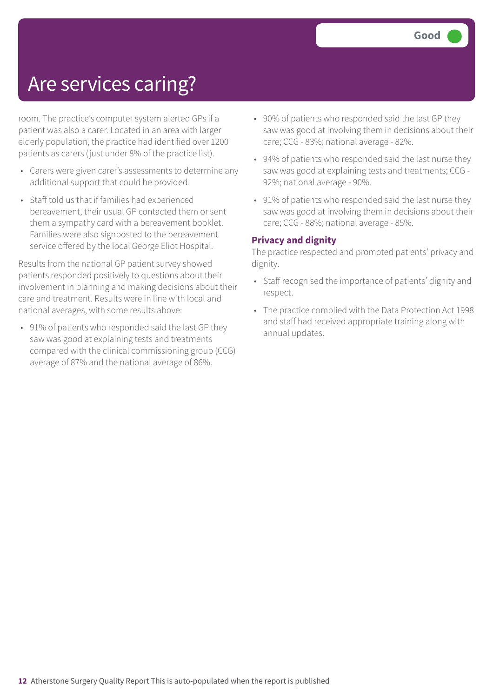## Are services caring?

room. The practice's computer system alerted GPs if a patient was also a carer. Located in an area with larger elderly population, the practice had identified over 1200 patients as carers (just under 8% of the practice list).

- Carers were given carer's assessments to determine any additional support that could be provided.
- Staff told us that if families had experienced bereavement, their usual GP contacted them or sent them a sympathy card with a bereavement booklet. Families were also signposted to the bereavement service offered by the local George Eliot Hospital.

Results from the national GP patient survey showed patients responded positively to questions about their involvement in planning and making decisions about their care and treatment. Results were in line with local and national averages, with some results above:

• 91% of patients who responded said the last GP they saw was good at explaining tests and treatments compared with the clinical commissioning group (CCG) average of 87% and the national average of 86%.

- 90% of patients who responded said the last GP they saw was good at involving them in decisions about their care; CCG - 83%; national average - 82%.
- 94% of patients who responded said the last nurse they saw was good at explaining tests and treatments; CCG - 92%; national average - 90%.
- 91% of patients who responded said the last nurse they saw was good at involving them in decisions about their care; CCG - 88%; national average - 85%.

### **Privacy and dignity**

The practice respected and promoted patients' privacy and dignity.

- Staff recognised the importance of patients' dignity and respect.
- The practice complied with the Data Protection Act 1998 and staff had received appropriate training along with annual updates.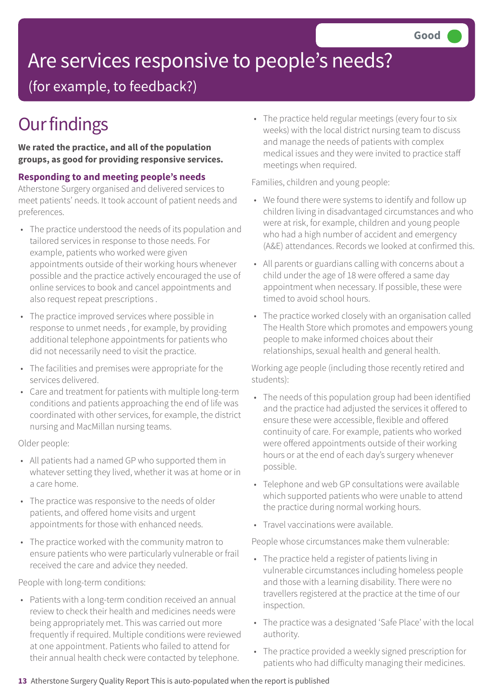## Are services responsive to people's needs?

(for example, to feedback?)

## **Our findings**

**We rated the practice, and all of the population groups, as good for providing responsive services.**

**Responding to and meeting people's needs**

Atherstone Surgery organised and delivered services to meet patients' needs. It took account of patient needs and preferences.

- The practice understood the needs of its population and tailored services in response to those needs. For example, patients who worked were given appointments outside of their working hours whenever possible and the practice actively encouraged the use of online services to book and cancel appointments and also request repeat prescriptions .
- The practice improved services where possible in response to unmet needs , for example, by providing additional telephone appointments for patients who did not necessarily need to visit the practice.
- The facilities and premises were appropriate for the services delivered.
- Care and treatment for patients with multiple long-term conditions and patients approaching the end of life was coordinated with other services, for example, the district nursing and MacMillan nursing teams.

Older people:

- All patients had a named GP who supported them in whatever setting they lived, whether it was at home or in a care home.
- The practice was responsive to the needs of older patients, and offered home visits and urgent appointments for those with enhanced needs.
- The practice worked with the community matron to ensure patients who were particularly vulnerable or frail received the care and advice they needed.

People with long-term conditions:

• Patients with a long-term condition received an annual review to check their health and medicines needs were being appropriately met. This was carried out more frequently if required. Multiple conditions were reviewed at one appointment. Patients who failed to attend for their annual health check were contacted by telephone.

• The practice held regular meetings (every four to six weeks) with the local district nursing team to discuss and manage the needs of patients with complex medical issues and they were invited to practice staff meetings when required.

Families, children and young people:

- We found there were systems to identify and follow up children living in disadvantaged circumstances and who were at risk, for example, children and young people who had a high number of accident and emergency (A&E) attendances. Records we looked at confirmed this.
- All parents or guardians calling with concerns about a child under the age of 18 were offered a same day appointment when necessary. If possible, these were timed to avoid school hours.
- The practice worked closely with an organisation called The Health Store which promotes and empowers young people to make informed choices about their relationships, sexual health and general health.

Working age people (including those recently retired and students):

- The needs of this population group had been identified and the practice had adjusted the services it offered to ensure these were accessible, flexible and offered continuity of care. For example, patients who worked were offered appointments outside of their working hours or at the end of each day's surgery whenever possible.
- Telephone and web GP consultations were available which supported patients who were unable to attend the practice during normal working hours.
- Travel vaccinations were available.

People whose circumstances make them vulnerable:

- The practice held a register of patients living in vulnerable circumstances including homeless people and those with a learning disability. There were no travellers registered at the practice at the time of our inspection.
- The practice was a designated 'Safe Place' with the local authority.
- The practice provided a weekly signed prescription for patients who had difficulty managing their medicines.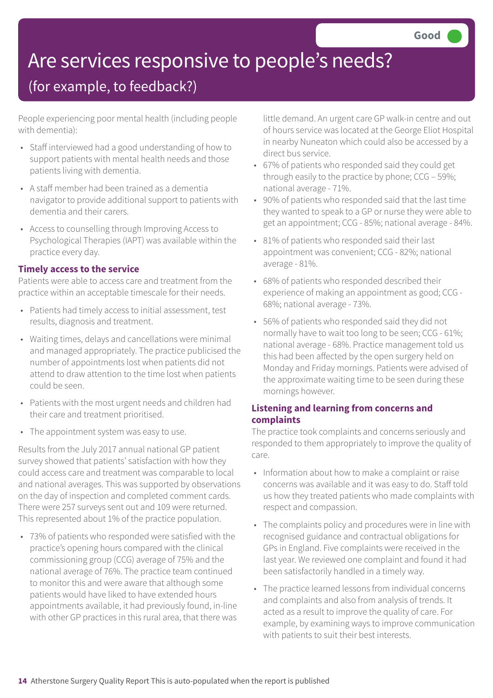## Are services responsive to people's needs?

## (for example, to feedback?)

People experiencing poor mental health (including people with dementia):

- Staff interviewed had a good understanding of how to support patients with mental health needs and those patients living with dementia.
- A staff member had been trained as a dementia navigator to provide additional support to patients with dementia and their carers.
- Access to counselling through Improving Access to Psychological Therapies (IAPT) was available within the practice every day.

### **Timely access to the service**

Patients were able to access care and treatment from the practice within an acceptable timescale for their needs.

- Patients had timely access to initial assessment, test results, diagnosis and treatment.
- Waiting times, delays and cancellations were minimal and managed appropriately. The practice publicised the number of appointments lost when patients did not attend to draw attention to the time lost when patients could be seen.
- Patients with the most urgent needs and children had their care and treatment prioritised.
- The appointment system was easy to use.

Results from the July 2017 annual national GP patient survey showed that patients' satisfaction with how they could access care and treatment was comparable to local and national averages. This was supported by observations on the day of inspection and completed comment cards. There were 257 surveys sent out and 109 were returned. This represented about 1% of the practice population.

• 73% of patients who responded were satisfied with the practice's opening hours compared with the clinical commissioning group (CCG) average of 75% and the national average of 76%. The practice team continued to monitor this and were aware that although some patients would have liked to have extended hours appointments available, it had previously found, in-line with other GP practices in this rural area, that there was little demand. An urgent care GP walk-in centre and out of hours service was located at the George Eliot Hospital in nearby Nuneaton which could also be accessed by a direct bus service.

- 67% of patients who responded said they could get through easily to the practice by phone; CCG – 59%; national average - 71%.
- 90% of patients who responded said that the last time they wanted to speak to a GP or nurse they were able to get an appointment; CCG - 85%; national average - 84%.
- 81% of patients who responded said their last appointment was convenient; CCG - 82%; national average - 81%.
- 68% of patients who responded described their experience of making an appointment as good; CCG - 68%; national average - 73%.
- 56% of patients who responded said they did not normally have to wait too long to be seen; CCG - 61%; national average - 68%. Practice management told us this had been affected by the open surgery held on Monday and Friday mornings. Patients were advised of the approximate waiting time to be seen during these mornings however.

### **Listening and learning from concerns and complaints**

The practice took complaints and concerns seriously and responded to them appropriately to improve the quality of care.

- Information about how to make a complaint or raise concerns was available and it was easy to do. Staff told us how they treated patients who made complaints with respect and compassion.
- The complaints policy and procedures were in line with recognised guidance and contractual obligations for GPs in England. Five complaints were received in the last year. We reviewed one complaint and found it had been satisfactorily handled in a timely way.
- The practice learned lessons from individual concerns and complaints and also from analysis of trends. It acted as a result to improve the quality of care. For example, by examining ways to improve communication with patients to suit their best interests.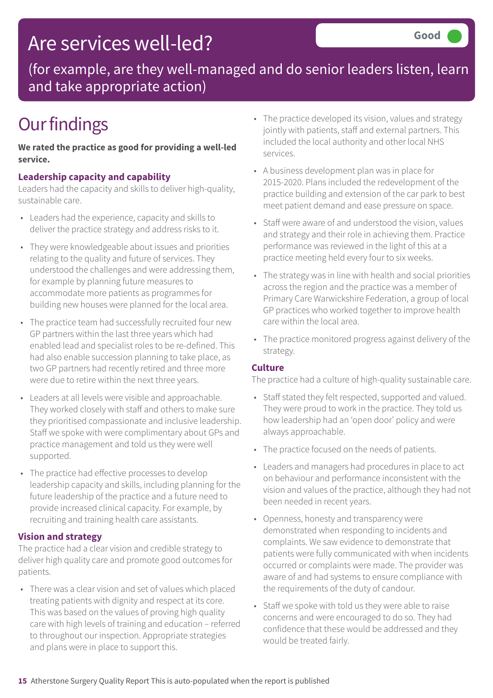## Are services well-led?

(for example, are they well-managed and do senior leaders listen, learn and take appropriate action)

## **Our findings**

**We rated the practice as good for providing a well-led service.**

### **Leadership capacity and capability**

Leaders had the capacity and skills to deliver high-quality, sustainable care.

- Leaders had the experience, capacity and skills to deliver the practice strategy and address risks to it.
- They were knowledgeable about issues and priorities relating to the quality and future of services. They understood the challenges and were addressing them, for example by planning future measures to accommodate more patients as programmes for building new houses were planned for the local area.
- The practice team had successfully recruited four new GP partners within the last three years which had enabled lead and specialist roles to be re-defined. This had also enable succession planning to take place, as two GP partners had recently retired and three more were due to retire within the next three years.
- Leaders at all levels were visible and approachable. They worked closely with staff and others to make sure they prioritised compassionate and inclusive leadership. Staff we spoke with were complimentary about GPs and practice management and told us they were well supported.
- The practice had effective processes to develop leadership capacity and skills, including planning for the future leadership of the practice and a future need to provide increased clinical capacity. For example, by recruiting and training health care assistants.

### **Vision and strategy**

The practice had a clear vision and credible strategy to deliver high quality care and promote good outcomes for patients.

• There was a clear vision and set of values which placed treating patients with dignity and respect at its core. This was based on the values of proving high quality care with high levels of training and education – referred to throughout our inspection. Appropriate strategies and plans were in place to support this.

- The practice developed its vision, values and strategy jointly with patients, staff and external partners. This included the local authority and other local NHS services.
- A business development plan was in place for 2015-2020. Plans included the redevelopment of the practice building and extension of the car park to best meet patient demand and ease pressure on space.
- Staff were aware of and understood the vision, values and strategy and their role in achieving them. Practice performance was reviewed in the light of this at a practice meeting held every four to six weeks.
- The strategy was in line with health and social priorities across the region and the practice was a member of Primary Care Warwickshire Federation, a group of local GP practices who worked together to improve health care within the local area.
- The practice monitored progress against delivery of the strategy.

### **Culture**

The practice had a culture of high-quality sustainable care.

- Staff stated they felt respected, supported and valued. They were proud to work in the practice. They told us how leadership had an 'open door' policy and were always approachable.
- The practice focused on the needs of patients.
- Leaders and managers had procedures in place to act on behaviour and performance inconsistent with the vision and values of the practice, although they had not been needed in recent years.
- Openness, honesty and transparency were demonstrated when responding to incidents and complaints. We saw evidence to demonstrate that patients were fully communicated with when incidents occurred or complaints were made. The provider was aware of and had systems to ensure compliance with the requirements of the duty of candour.
- Staff we spoke with told us they were able to raise concerns and were encouraged to do so. They had confidence that these would be addressed and they would be treated fairly.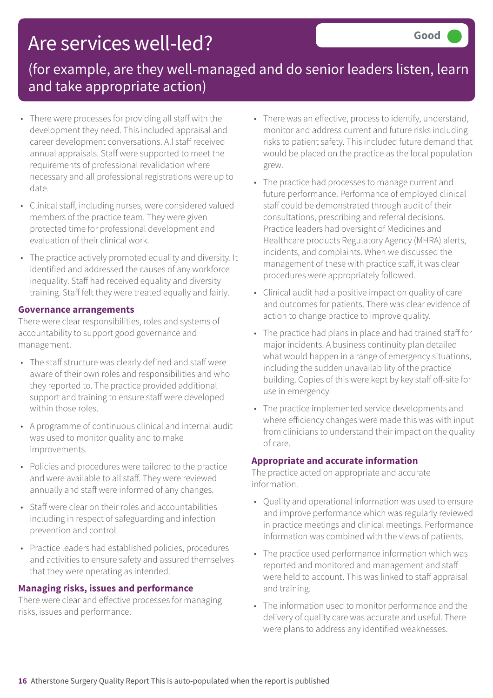## Are services well-led?

## (for example, are they well-managed and do senior leaders listen, learn and take appropriate action)

- There were processes for providing all staff with the development they need. This included appraisal and career development conversations. All staff received annual appraisals. Staff were supported to meet the requirements of professional revalidation where necessary and all professional registrations were up to date.
- Clinical staff, including nurses, were considered valued members of the practice team. They were given protected time for professional development and evaluation of their clinical work.
- The practice actively promoted equality and diversity. It identified and addressed the causes of any workforce inequality. Staff had received equality and diversity training. Staff felt they were treated equally and fairly.

#### **Governance arrangements**

There were clear responsibilities, roles and systems of accountability to support good governance and management.

- The staff structure was clearly defined and staff were aware of their own roles and responsibilities and who they reported to. The practice provided additional support and training to ensure staff were developed within those roles.
- A programme of continuous clinical and internal audit was used to monitor quality and to make improvements.
- Policies and procedures were tailored to the practice and were available to all staff. They were reviewed annually and staff were informed of any changes.
- Staff were clear on their roles and accountabilities including in respect of safeguarding and infection prevention and control.
- Practice leaders had established policies, procedures and activities to ensure safety and assured themselves that they were operating as intended.

### **Managing risks, issues and performance**

There were clear and effective processes for managing risks, issues and performance.

- There was an effective, process to identify, understand, monitor and address current and future risks including risks to patient safety. This included future demand that would be placed on the practice as the local population grew.
- The practice had processes to manage current and future performance. Performance of employed clinical staff could be demonstrated through audit of their consultations, prescribing and referral decisions. Practice leaders had oversight of Medicines and Healthcare products Regulatory Agency (MHRA) alerts, incidents, and complaints. When we discussed the management of these with practice staff, it was clear procedures were appropriately followed.
- Clinical audit had a positive impact on quality of care and outcomes for patients. There was clear evidence of action to change practice to improve quality.
- The practice had plans in place and had trained staff for major incidents. A business continuity plan detailed what would happen in a range of emergency situations, including the sudden unavailability of the practice building. Copies of this were kept by key staff off-site for use in emergency.
- The practice implemented service developments and where efficiency changes were made this was with input from clinicians to understand their impact on the quality of care.

### **Appropriate and accurate information**

The practice acted on appropriate and accurate information.

- Quality and operational information was used to ensure and improve performance which was regularly reviewed in practice meetings and clinical meetings. Performance information was combined with the views of patients.
- The practice used performance information which was reported and monitored and management and staff were held to account. This was linked to staff appraisal and training.
- The information used to monitor performance and the delivery of quality care was accurate and useful. There were plans to address any identified weaknesses.